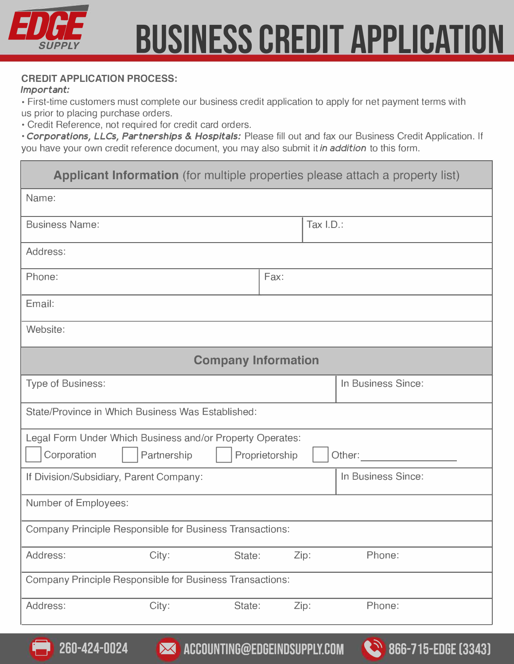

#### **CREDIT APPLICATION PROCESS:**

#### *Important:*

• First-time customers must complete our business credit application to apply for net payment terms with us prior to placing purchase orders.

• Credit Reference, not required for credit card orders.

· *Corporations, LLCs, Partnerships* & *Hospitals:* Please fill out and fax our Business Credit Application. If you have your own credit reference document, you may also submit it *in addition* to this form.

| Applicant Information (for multiple properties please attach a property list)                                       |        |      |  |                    |  |  |  |  |
|---------------------------------------------------------------------------------------------------------------------|--------|------|--|--------------------|--|--|--|--|
| Name:                                                                                                               |        |      |  |                    |  |  |  |  |
| <b>Business Name:</b>                                                                                               |        |      |  | Tax I.D.:          |  |  |  |  |
| Address:                                                                                                            |        |      |  |                    |  |  |  |  |
| Fax:<br>Phone:                                                                                                      |        |      |  |                    |  |  |  |  |
| Email:                                                                                                              |        |      |  |                    |  |  |  |  |
| Website:                                                                                                            |        |      |  |                    |  |  |  |  |
| <b>Company Information</b>                                                                                          |        |      |  |                    |  |  |  |  |
| <b>Type of Business:</b>                                                                                            |        |      |  | In Business Since: |  |  |  |  |
| State/Province in Which Business Was Established:                                                                   |        |      |  |                    |  |  |  |  |
| Legal Form Under Which Business and/or Property Operates:<br>Corporation<br>Partnership<br>Proprietorship<br>Other: |        |      |  |                    |  |  |  |  |
| In Business Since:<br>If Division/Subsidiary, Parent Company:                                                       |        |      |  |                    |  |  |  |  |
| Number of Employees:                                                                                                |        |      |  |                    |  |  |  |  |
| <b>Company Principle Responsible for Business Transactions:</b>                                                     |        |      |  |                    |  |  |  |  |
| Address:<br>City:                                                                                                   | State: | Zip: |  | Phone:             |  |  |  |  |
| Company Principle Responsible for Business Transactions:                                                            |        |      |  |                    |  |  |  |  |
| City:<br>Address:                                                                                                   | State: | Zip: |  | Phone:             |  |  |  |  |

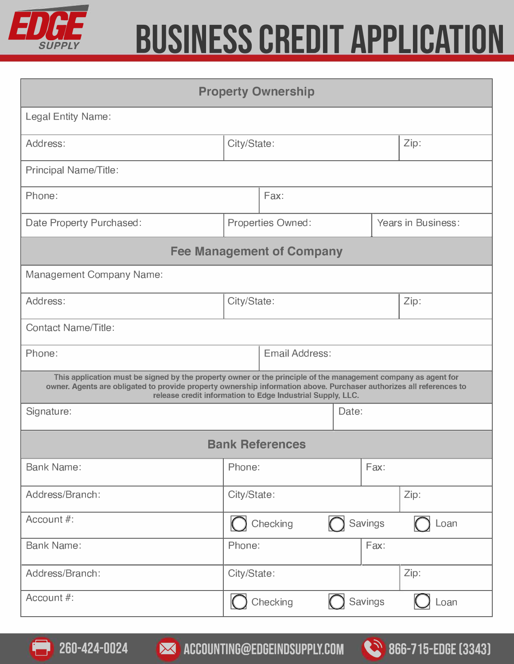

| <b>Property Ownership</b>                                                                                                                                                                                                                                                                          |                          |          |  |                    |      |  |  |  |
|----------------------------------------------------------------------------------------------------------------------------------------------------------------------------------------------------------------------------------------------------------------------------------------------------|--------------------------|----------|--|--------------------|------|--|--|--|
| <b>Legal Entity Name:</b>                                                                                                                                                                                                                                                                          |                          |          |  |                    |      |  |  |  |
| Address:                                                                                                                                                                                                                                                                                           | City/State:              |          |  | Zip:               |      |  |  |  |
| <b>Principal Name/Title:</b>                                                                                                                                                                                                                                                                       |                          |          |  |                    |      |  |  |  |
| Phone:                                                                                                                                                                                                                                                                                             | Fax:                     |          |  |                    |      |  |  |  |
| Date Property Purchased:                                                                                                                                                                                                                                                                           | <b>Properties Owned:</b> |          |  | Years in Business: |      |  |  |  |
| <b>Fee Management of Company</b>                                                                                                                                                                                                                                                                   |                          |          |  |                    |      |  |  |  |
| <b>Management Company Name:</b>                                                                                                                                                                                                                                                                    |                          |          |  |                    |      |  |  |  |
| Address:                                                                                                                                                                                                                                                                                           | City/State:              |          |  | Zip:               |      |  |  |  |
| <b>Contact Name/Title:</b>                                                                                                                                                                                                                                                                         |                          |          |  |                    |      |  |  |  |
| Phone:                                                                                                                                                                                                                                                                                             | Email Address:           |          |  |                    |      |  |  |  |
| This application must be signed by the property owner or the principle of the management company as agent for<br>owner. Agents are obligated to provide property ownership information above. Purchaser authorizes all references to<br>release credit information to Edge Industrial Supply, LLC. |                          |          |  |                    |      |  |  |  |
| Signature:                                                                                                                                                                                                                                                                                         | Date:                    |          |  |                    |      |  |  |  |
| <b>Bank References</b>                                                                                                                                                                                                                                                                             |                          |          |  |                    |      |  |  |  |
| <b>Bank Name:</b>                                                                                                                                                                                                                                                                                  | Phone:                   |          |  | Fax:               |      |  |  |  |
| Address/Branch:                                                                                                                                                                                                                                                                                    | City/State:              |          |  | Zip:               |      |  |  |  |
| Account #:                                                                                                                                                                                                                                                                                         | Checking<br>Savings      |          |  | Loan               |      |  |  |  |
| <b>Bank Name:</b>                                                                                                                                                                                                                                                                                  | Phone:                   |          |  | Fax:               |      |  |  |  |
| Address/Branch:                                                                                                                                                                                                                                                                                    | City/State:              |          |  |                    | Zip: |  |  |  |
| Account #:                                                                                                                                                                                                                                                                                         |                          | Checking |  | Savings            | Loan |  |  |  |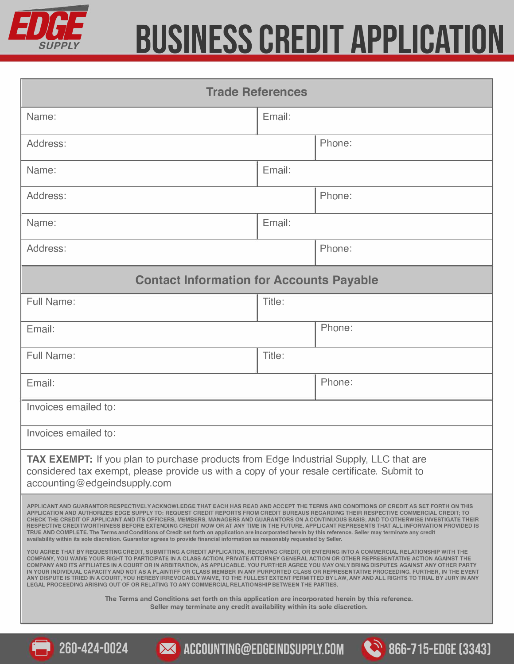

| <b>Trade References</b>                                                                                                                                                                                                                                                                                                                                                                                                                                                                                                                                                                                                                                                                                                                                                                                                                                                                                                                                                                                                                                                                                                                                                                                                                                                                                                                                                                                                                                                                                                                                                                                                                                                                                                                                                                                                                                                                                             |        |                                                           |  |  |  |  |
|---------------------------------------------------------------------------------------------------------------------------------------------------------------------------------------------------------------------------------------------------------------------------------------------------------------------------------------------------------------------------------------------------------------------------------------------------------------------------------------------------------------------------------------------------------------------------------------------------------------------------------------------------------------------------------------------------------------------------------------------------------------------------------------------------------------------------------------------------------------------------------------------------------------------------------------------------------------------------------------------------------------------------------------------------------------------------------------------------------------------------------------------------------------------------------------------------------------------------------------------------------------------------------------------------------------------------------------------------------------------------------------------------------------------------------------------------------------------------------------------------------------------------------------------------------------------------------------------------------------------------------------------------------------------------------------------------------------------------------------------------------------------------------------------------------------------------------------------------------------------------------------------------------------------|--------|-----------------------------------------------------------|--|--|--|--|
| Name:                                                                                                                                                                                                                                                                                                                                                                                                                                                                                                                                                                                                                                                                                                                                                                                                                                                                                                                                                                                                                                                                                                                                                                                                                                                                                                                                                                                                                                                                                                                                                                                                                                                                                                                                                                                                                                                                                                               | Email: |                                                           |  |  |  |  |
| Address:                                                                                                                                                                                                                                                                                                                                                                                                                                                                                                                                                                                                                                                                                                                                                                                                                                                                                                                                                                                                                                                                                                                                                                                                                                                                                                                                                                                                                                                                                                                                                                                                                                                                                                                                                                                                                                                                                                            |        | Phone:                                                    |  |  |  |  |
| Name:                                                                                                                                                                                                                                                                                                                                                                                                                                                                                                                                                                                                                                                                                                                                                                                                                                                                                                                                                                                                                                                                                                                                                                                                                                                                                                                                                                                                                                                                                                                                                                                                                                                                                                                                                                                                                                                                                                               | Email: |                                                           |  |  |  |  |
| Address:                                                                                                                                                                                                                                                                                                                                                                                                                                                                                                                                                                                                                                                                                                                                                                                                                                                                                                                                                                                                                                                                                                                                                                                                                                                                                                                                                                                                                                                                                                                                                                                                                                                                                                                                                                                                                                                                                                            |        | Phone:                                                    |  |  |  |  |
| Name:                                                                                                                                                                                                                                                                                                                                                                                                                                                                                                                                                                                                                                                                                                                                                                                                                                                                                                                                                                                                                                                                                                                                                                                                                                                                                                                                                                                                                                                                                                                                                                                                                                                                                                                                                                                                                                                                                                               | Email: |                                                           |  |  |  |  |
| Address:                                                                                                                                                                                                                                                                                                                                                                                                                                                                                                                                                                                                                                                                                                                                                                                                                                                                                                                                                                                                                                                                                                                                                                                                                                                                                                                                                                                                                                                                                                                                                                                                                                                                                                                                                                                                                                                                                                            |        | Phone:                                                    |  |  |  |  |
| <b>Contact Information for Accounts Payable</b>                                                                                                                                                                                                                                                                                                                                                                                                                                                                                                                                                                                                                                                                                                                                                                                                                                                                                                                                                                                                                                                                                                                                                                                                                                                                                                                                                                                                                                                                                                                                                                                                                                                                                                                                                                                                                                                                     |        |                                                           |  |  |  |  |
| <b>Full Name:</b>                                                                                                                                                                                                                                                                                                                                                                                                                                                                                                                                                                                                                                                                                                                                                                                                                                                                                                                                                                                                                                                                                                                                                                                                                                                                                                                                                                                                                                                                                                                                                                                                                                                                                                                                                                                                                                                                                                   | Title: |                                                           |  |  |  |  |
| Email:                                                                                                                                                                                                                                                                                                                                                                                                                                                                                                                                                                                                                                                                                                                                                                                                                                                                                                                                                                                                                                                                                                                                                                                                                                                                                                                                                                                                                                                                                                                                                                                                                                                                                                                                                                                                                                                                                                              |        | Phone:                                                    |  |  |  |  |
| Full Name:                                                                                                                                                                                                                                                                                                                                                                                                                                                                                                                                                                                                                                                                                                                                                                                                                                                                                                                                                                                                                                                                                                                                                                                                                                                                                                                                                                                                                                                                                                                                                                                                                                                                                                                                                                                                                                                                                                          | Title: |                                                           |  |  |  |  |
| Email:                                                                                                                                                                                                                                                                                                                                                                                                                                                                                                                                                                                                                                                                                                                                                                                                                                                                                                                                                                                                                                                                                                                                                                                                                                                                                                                                                                                                                                                                                                                                                                                                                                                                                                                                                                                                                                                                                                              |        | Phone:                                                    |  |  |  |  |
| Invoices emailed to:                                                                                                                                                                                                                                                                                                                                                                                                                                                                                                                                                                                                                                                                                                                                                                                                                                                                                                                                                                                                                                                                                                                                                                                                                                                                                                                                                                                                                                                                                                                                                                                                                                                                                                                                                                                                                                                                                                |        |                                                           |  |  |  |  |
| Invoices emailed to:                                                                                                                                                                                                                                                                                                                                                                                                                                                                                                                                                                                                                                                                                                                                                                                                                                                                                                                                                                                                                                                                                                                                                                                                                                                                                                                                                                                                                                                                                                                                                                                                                                                                                                                                                                                                                                                                                                |        |                                                           |  |  |  |  |
| TAX EXEMPT: If you plan to purchase products from Edge Industrial Supply, LLC that are<br>considered tax exempt, please provide us with a copy of your resale certificate. Submit to<br>accounting@edgeindsupply.com                                                                                                                                                                                                                                                                                                                                                                                                                                                                                                                                                                                                                                                                                                                                                                                                                                                                                                                                                                                                                                                                                                                                                                                                                                                                                                                                                                                                                                                                                                                                                                                                                                                                                                |        |                                                           |  |  |  |  |
| APPLICANT AND GUARANTOR RESPECTIVELY ACKNOWLEDGE THAT EACH HAS READ AND ACCEPT THE TERMS AND CONDITIONS OF CREDIT AS SET FORTH ON THIS<br>APPLICATION AND AUTHORIZES EDGE SUPPLY TO: REQUEST CREDIT REPORTS FROM CREDIT BUREAUS REGARDING THEIR RESPECTIVE COMMERCIAL CREDIT; TO<br>CHECK THE CREDIT OF APPLICANT AND ITS OFFICERS, MEMBERS, MANAGERS AND GUARANTORS ON A CONTINUOUS BASIS; AND TO OTHERWISE INVESTIGATE THEIR<br>RESPECTIVE CREDITWORTHINESS BEFORE EXTENDING CREDIT NOW OR AT ANY TIME IN THE FUTURE. APPLICANT REPRESENTS THAT ALL INFORMATION PROVIDED IS<br>TRUE AND COMPLETE. The Terms and Conditions of Credit set forth on application are incorporated herein by this reference. Seller may terminate any credit<br>availability within its sole discretion. Guarantor agrees to provide financial information as reasonably requested by Seller.<br>YOU AGREE THAT BY REQUESTING CREDIT, SUBMITTING A CREDIT APPLICATION, RECEIVING CREDIT, OR ENTERING INTO A COMMERCIAL RELATIONSHIP WITH THE<br>COMPANY, YOU WAIVE YOUR RIGHT TO PARTICIPATE IN A CLASS ACTION, PRIVATE ATTORNEY GENERAL ACTION OR OTHER REPRESENTATIVE ACTION AGAINST THE<br>COMPANY AND ITS AFFILIATES IN A COURT OR IN ARBITRATION, AS APPLICABLE. YOU FURTHER AGREE YOU MAY ONLY BRING DISPUTES AGAINST ANY OTHER PARTY<br>IN YOUR INDIVIDUAL CAPACITY AND NOT AS A PLAINTIFF OR CLASS MEMBER IN ANY PURPORTED CLASS OR REPRESENTATIVE PROCEEDING. FURTHER, IN THE EVENT<br>ANY DISPUTE IS TRIED IN A COURT, YOU HEREBY IRREVOCABLY WAIVE, TO THE FULLEST EXTENT PERMITTED BY LAW, ANY AND ALL RIGHTS TO TRIAL BY JURY IN ANY<br>LEGAL PROCEEDING ARISING OUT OF OR RELATING TO ANY COMMERCIAL RELATIONSHIP BETWEEN THE PARTIES.<br>The Terms and Conditions set forth on this application are incorporated herein by this reference.<br>Seller may terminate any credit availability within its sole discretion. |        |                                                           |  |  |  |  |
| 260-424-0024                                                                                                                                                                                                                                                                                                                                                                                                                                                                                                                                                                                                                                                                                                                                                                                                                                                                                                                                                                                                                                                                                                                                                                                                                                                                                                                                                                                                                                                                                                                                                                                                                                                                                                                                                                                                                                                                                                        |        | <b>X ACCOUNTING@EDGEINDSUPPLY.COM 866-715-EDGE [3343]</b> |  |  |  |  |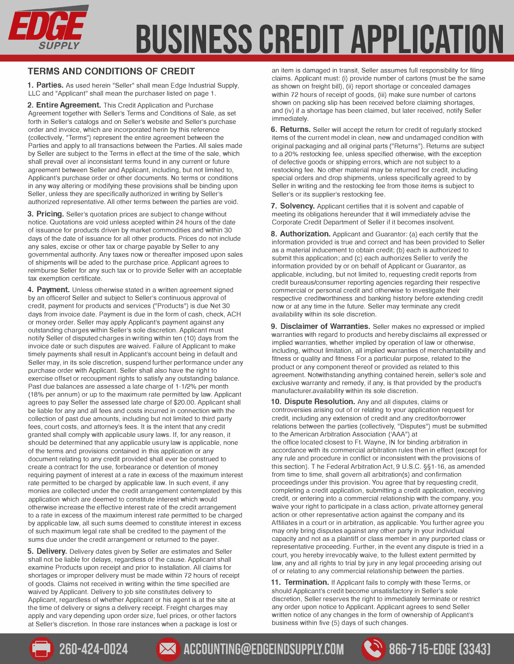

#### **TERMS AND CONDITIONS OF CREDIT**

**1. Parties.** As used herein "Seller" shall mean Edge Industrial Supply, LLC and "Applicant" shall mean the purchaser listed on page 1.

**2. Entire Agreement.** This Credit Application and Purchase Agreement together with Seller's Terms and Conditions of Sale, as set forth in Seller's catalogs and on Seller's website and Seller's purchase order and invoice, which are incorporated herin by this reference (collectively, "Terms") represent the entire agreement between the Parties and apply to all transactions between the Parties. All sales made by Seller are subject to the Terms in effect at the time of the sale, which shall prevail over al inconsistant terms found in any current or future agreement between Seller and Applicant, including, but not limited to, Applicant's purchase order or other documents. No terms or conditions in any way altering or modifying these provisions shall be binding upon Seller, unless they are specifically authorized in writing by Seller's authorized representative. All other terms between the parties are void.

**3. Pricing.** Seller's quotation prices are subject to change without notice. Quotations are void unless acepted within 24 hours of the date of issuance for products driven by market commodities and within 30 days of the date of issuance for all other products. Prices do not include any sales, excise or other tax or charge payable by Seller to any governmental authority. Any taxes now or thereafter imposed upon sales of shipments will be aded to the purchase price. Applicant agrees to reimburse Seller for any such tax or to provide Seller with an acceptable tax exemption certificate.

**4. Payment.** Unless otherwise stated in a written agreement signed by an officerof Seller and subject to Seller's continuous approval of credit, payment for products and services ("Products") is due Net 30 days from invoice date. Payment is due in the form of cash, check, ACH or money order. Seller may apply Applicant's payment against any outstanding charges within Seller's sole discretion. Applicant must notify Seller of disputed charges in writing within ten (10) days from the invoice date or such disputes are waived. Failure of Applicant to make timely payments shall result in Applicant's account being in default and Seller may, in its sole discretion, suspend further performance under any purchase order with Applicant. Seller shall also have the right to exercise offset or recoupment rights to satisfy any outstanding balance. Past due balances are assessed a late charge of 1-1/2% per month (18% per annum) or up to the maximum rate permitted by law. Applicant agrees to pay Seller the assessed late charge of \$20.00. Applicant shall be liable for any and all fees and costs incurred in connection with the collection of past due amounts, including but not limited to third party fees, court costs, and attorney's fees. It is the intent that any credit granted shall comply with applicable usury laws. If, for any reason, it should be determined that any applicable usury law is applicable, none of the terms and provisions contained in this application or any document relating to any credit provided shall ever be construed to create a contract for the use, forbearance or detention of money requiring payment of interest at a rate in excess of the maximum interest rate permitted to be charged by applicable law. In such event, if any monies are collected under the credit arrangement contemplated by this application which are deemed to constitute interest which would otherwise increase the effective interest rate of the credit arrangement to a rate in excess of the maximum interest rate permitted to be charged by applicable law, all such sums deemed to constitute interest in excess of such maximum legal rate shall be credited to the payment of the sums due under the credit arrangement or returned to the payer.

**5. Delivery.** Delivery dates given by Seller are estimates and Seller shall not be liable for delays, regardless of the cause. Applicant shall examine Products upon receipt and prior to installation. All claims for shortages or improper delivery must be made within 72 hours of receipt of goods. Claims not received in writing within the time specified are waived by Applicant. Delivery to job site constitutes delivery to Applicant, regardless of whether Applicant or his agent is at the site at the time of delivery or signs a delivery receipt. Freight charges may apply and vary depending upon order size, fuel prices, or other factors at Seller's discretion. In those rare instances when a package is lost or

an item is damaged in transit, Seller assumes full responsibility for filing claims. Applicant must: (i) provide number of cartons (must be the same as shown on freight bill), (ii) report shortage or concealed damages within 72 hours of receipt of goods, (iii) make sure number of cartons shown on packing slip has been received before claiming shortages, and (iv) if a shortage has been claimed, but later received, notify Seller immediately.

**6. Returns.** Seller will accept the return for credit of regularly stocked items of the current model in clean, new and undamaged condition with original packaging and all original parts ("Returns"). Returns are subject to a 20% restocking fee, unless specified otherwise, with the exception of defective goods or shipping errors, which are not subject to a restocking fee. No other material may be returned for credit, including special orders and drop shipments, unless specifically agreed to by Seller in writing and the restocking fee from those items is subject to Seller's or its supplier's restocking fee.

**7. Solvency.** Applicant certifies that it is solvent and capable of meeting its obligations hereunder that it will immediately advise the Corporate Credit Department of Seller if it becomes insolvent.

**8. Authorization.** Applicant and Guarantor: (a) each certify that the information provided is true and correct and has been provided to Seller as a material inducement to obtain credit; (b) each is authorized to submit this application; and (c) each authorizes Seller to verify the information provided by or on behalf of Applicant or Guarantor, as applicable, including, but not limited to, requesting credit reports from credit bureaus/consumer reporting agencies regarding their respective commercial or personal credit and otherwise to investigate their respective creditworthiness and banking history before extending credit now or at any time in the future. Seller may terminate any credit availability within its sole discretion.

**9. Disclaimer of Warranties.** Seller makes no expressed or implied warranties with regard to products and hereby disclaims all expressed or implied warranties, whether implied by operation of law or otherwise, including, without limitation, all implied warranties of merchantability and fitness or quality and fitness For a particular purpose, related to the product or any component thereof or provided as related to this agreement. Notwithstanding anything contained herein, seller's sole and exclusive warranty and remedy, if any, is that provided by the product's manufacturer.availability within its sole discretion.

**10. Dispute Resolution.** Any and all disputes, claims or controversies arising out of or relating to your application request for credit, including any extension of credit and any creditor/borrower relations between the parties (collectively, "Disputes") must be submitted to the American Arbitration Association ('AAA") at the office located closest to Ft. Wayne, IN for binding arbitration in accordance with its commercial arbitration rules then in effect (except for any rule and procedure in conflict or inconsistent with the provisions of this section). T he Federal Arbitration Act, 9 U.S.C. §§1-16, as amended from time to time, shall govern all arbitration(s) and confirmation proceedings under this provision. You agree that by requesting credit, completing a credit application, submitting a credit application, receiving credit, or entering into a commercial relationship with the company, you waive your right to participate in a class action, private attorney general action or other representative action against the company and its Affiliates in a court or in arbitration, as applicable. You further agree you may only bring disputes against any other party in your individual capacity and not as a plaintiff or class member in any purported class or representative proceeding. Further, in the event any dispute is tried in a court, you hereby irrevocably waive, to the fullest extent permitted by law, any and all rights to trial by jury in any legal proceeding arising out of or relating to any commercial relationship between the parties.

**11. Termination.** If Applicant fails to comply with these Terms, or should Applicant's credit become unsatisfactory in Seller's sole discretion, Seller reserves the right to immediately terminate or restrict any order upon notice to Applicant. Applicant agrees to send Seller written notice of any changes in the form of ownership of Applicant's business within five (5) days of such changes.